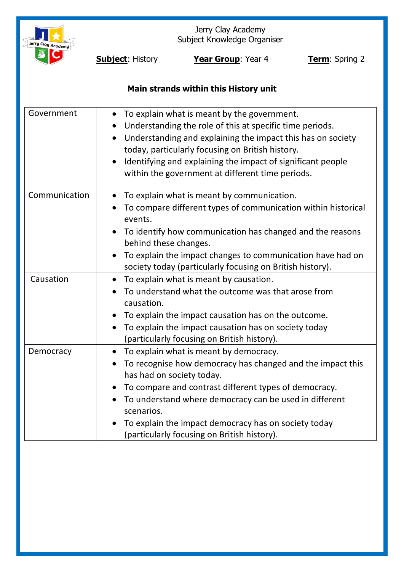

Jerry Clay Academy Subject Knowledge Organiser

**Subject:** History **Year Group**: Year 4 **Term**: Spring 2

# **Main strands within this History unit**

| Government    | To explain what is meant by the government.<br>$\bullet$<br>Understanding the role of this at specific time periods.<br>$\bullet$<br>Understanding and explaining the impact this has on society<br>today, particularly focusing on British history.<br>Identifying and explaining the impact of significant people<br>within the government at different time periods.   |
|---------------|---------------------------------------------------------------------------------------------------------------------------------------------------------------------------------------------------------------------------------------------------------------------------------------------------------------------------------------------------------------------------|
| Communication | To explain what is meant by communication.<br>To compare different types of communication within historical<br>events.<br>To identify how communication has changed and the reasons<br>behind these changes.<br>To explain the impact changes to communication have had on                                                                                                |
|               | society today (particularly focusing on British history).                                                                                                                                                                                                                                                                                                                 |
| Causation     | To explain what is meant by causation.<br>$\bullet$<br>To understand what the outcome was that arose from<br>causation.<br>To explain the impact causation has on the outcome.<br>To explain the impact causation has on society today<br>$\bullet$<br>(particularly focusing on British history).                                                                        |
| Democracy     | To explain what is meant by democracy.<br>To recognise how democracy has changed and the impact this<br>has had on society today.<br>To compare and contrast different types of democracy.<br>To understand where democracy can be used in different<br>scenarios.<br>To explain the impact democracy has on society today<br>(particularly focusing on British history). |